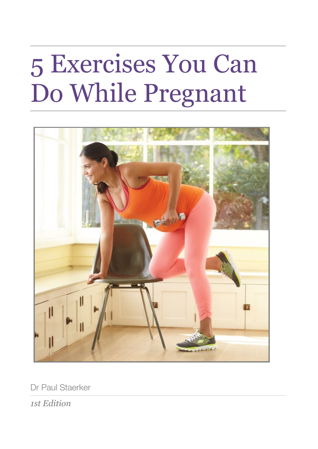# 5 Exercises You Can Do While Pregnant



Dr Paul Staerker

*1st Edition*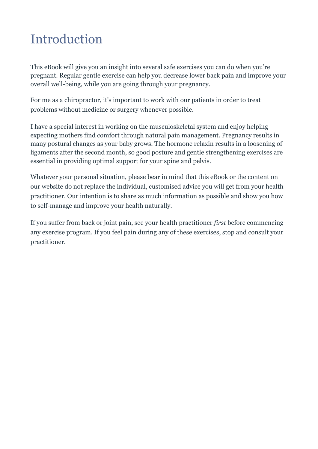### <span id="page-2-0"></span>Introduction

This eBook will give you an insight into several safe exercises you can do when you're pregnant. Regular gentle exercise can help you decrease lower back pain and improve your overall well-being, while you are going through your pregnancy.

For me as a chiropractor, it's important to work with our patients in order to treat problems without medicine or surgery whenever possible.

I have a special interest in working on the musculoskeletal system and enjoy helping expecting mothers find comfort through natural pain management. Pregnancy results in many postural changes as your baby grows. The hormone relaxin results in a loosening of ligaments after the second month, so good posture and gentle strengthening exercises are essential in providing optimal support for your spine and pelvis.

Whatever your personal situation, please bear in mind that this eBook or the content on our website do not replace the individual, customised advice you will get from your health practitioner. Our intention is to share as much information as possible and show you how to self-manage and improve your health naturally.

If you suffer from back or joint pain, see your health practitioner *first* before commencing any exercise program. If you feel pain during any of these exercises, stop and consult your practitioner.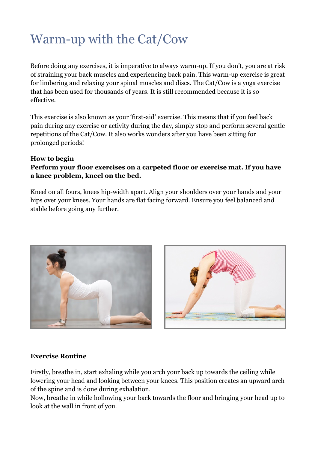### <span id="page-3-0"></span>Warm-up with the Cat/Cow

Before doing any exercises, it is imperative to always warm-up. If you don't, you are at risk of straining your back muscles and experiencing back pain. This warm-up exercise is great for limbering and relaxing your spinal muscles and discs. The Cat/Cow is a yoga exercise that has been used for thousands of years. It is still recommended because it is so effective.

This exercise is also known as your 'first-aid' exercise. This means that if you feel back pain during any exercise or activity during the day, simply stop and perform several gentle repetitions of the Cat/Cow. It also works wonders after you have been sitting for prolonged periods!

#### **How to begin**

### **Perform your floor exercises on a carpeted floor or exercise mat. If you have a knee problem, kneel on the bed.**

Kneel on all fours, knees hip-width apart. Align your shoulders over your hands and your hips over your knees. Your hands are flat facing forward. Ensure you feel balanced and stable before going any further.





### **Exercise Routine**

Firstly, breathe in, start exhaling while you arch your back up towards the ceiling while lowering your head and looking between your knees. This position creates an upward arch of the spine and is done during exhalation.

Now, breathe in while hollowing your back towards the floor and bringing your head up to look at the wall in front of you.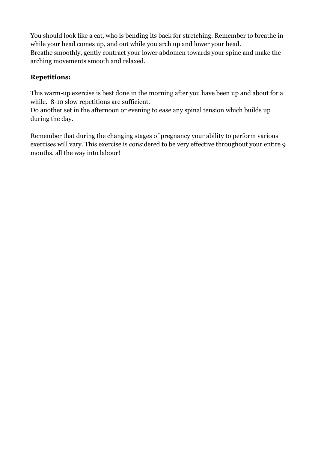You should look like a cat, who is bending its back for stretching. Remember to breathe in while your head comes up, and out while you arch up and lower your head. Breathe smoothly, gently contract your lower abdomen towards your spine and make the arching movements smooth and relaxed.

### **Repetitions:**

This warm-up exercise is best done in the morning after you have been up and about for a while. 8-10 slow repetitions are sufficient.

Do another set in the afternoon or evening to ease any spinal tension which builds up during the day.

Remember that during the changing stages of pregnancy your ability to perform various exercises will vary. This exercise is considered to be very effective throughout your entire 9 months, all the way into labour!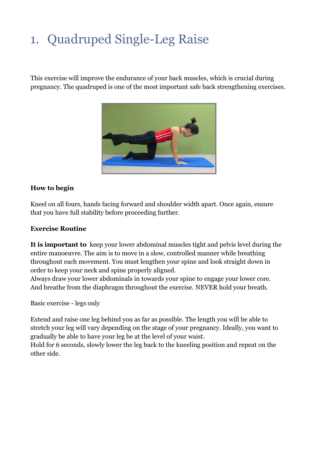## <span id="page-5-0"></span>1. Quadruped Single-Leg Raise

This exercise will improve the endurance of your back muscles, which is crucial during pregnancy. The quadruped is one of the most important safe back strengthening exercises.



### **How to begin**

Kneel on all fours, hands facing forward and shoulder width apart. Once again, ensure that you have full stability before proceeding further.

#### **Exercise Routine**

**It is important to** keep your lower abdominal muscles tight and pelvis level during the entire manoeuvre. The aim is to move in a slow, controlled manner while breathing throughout each movement. You must lengthen your spine and look straight down in order to keep your neck and spine properly aligned.

Always draw your lower abdominals in towards your spine to engage your lower core. And breathe from the diaphragm throughout the exercise. NEVER hold your breath.

Basic exercise - legs only

Extend and raise one leg behind you as far as possible. The length you will be able to stretch your leg will vary depending on the stage of your pregnancy. Ideally, you want to gradually be able to have your leg be at the level of your waist.

Hold for 6 seconds, slowly lower the leg back to the kneeling position and repeat on the other side.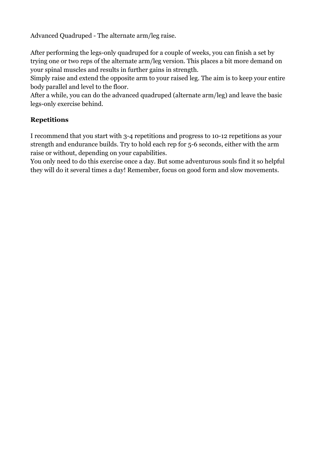Advanced Quadruped - The alternate arm/leg raise.

After performing the legs-only quadruped for a couple of weeks, you can finish a set by trying one or two reps of the alternate arm/leg version. This places a bit more demand on your spinal muscles and results in further gains in strength.

Simply raise and extend the opposite arm to your raised leg. The aim is to keep your entire body parallel and level to the floor.

After a while, you can do the advanced quadruped (alternate arm/leg) and leave the basic legs-only exercise behind.

### **Repetitions**

I recommend that you start with 3-4 repetitions and progress to 10-12 repetitions as your strength and endurance builds. Try to hold each rep for 5-6 seconds, either with the arm raise or without, depending on your capabilities.

You only need to do this exercise once a day. But some adventurous souls find it so helpful they will do it several times a day! Remember, focus on good form and slow movements.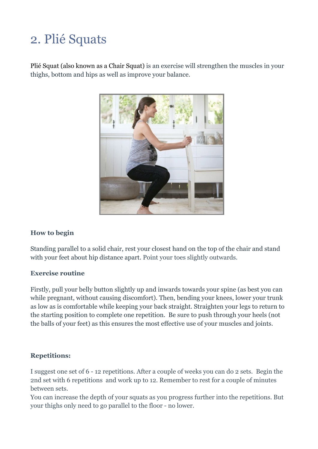### <span id="page-7-0"></span>2. Plié Squats

Plié Squat (also known as a Chair Squat) is an exercise will strengthen the muscles in your thighs, bottom and hips as well as improve your balance.



### **How to begin**

Standing parallel to a solid chair, rest your closest hand on the top of the chair and stand with your feet about hip distance apart. Point your toes slightly outwards.

#### **Exercise routine**

Firstly, pull your belly button slightly up and inwards towards your spine (as best you can while pregnant, without causing discomfort). Then, bending your knees, lower your trunk as low as is comfortable while keeping your back straight. Straighten your legs to return to the starting position to complete one repetition. Be sure to push through your heels (not the balls of your feet) as this ensures the most effective use of your muscles and joints.

### **Repetitions:**

I suggest one set of 6 - 12 repetitions. After a couple of weeks you can do 2 sets. Begin the 2nd set with 6 repetitions and work up to 12. Remember to rest for a couple of minutes between sets.

You can increase the depth of your squats as you progress further into the repetitions. But your thighs only need to go parallel to the floor - no lower.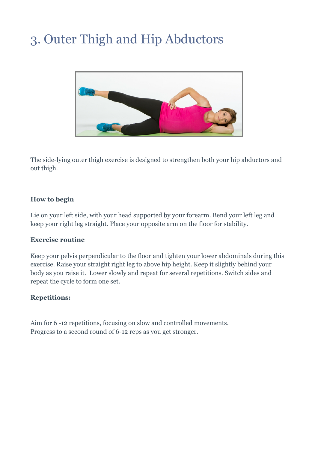### <span id="page-8-0"></span>3. Outer Thigh and Hip Abductors



The side-lying outer thigh exercise is designed to strengthen both your hip abductors and out thigh.

#### **How to begin**

Lie on your left side, with your head supported by your forearm. Bend your left leg and keep your right leg straight. Place your opposite arm on the floor for stability.

#### **Exercise routine**

Keep your pelvis perpendicular to the floor and tighten your lower abdominals during this exercise. Raise your straight right leg to above hip height. Keep it slightly behind your body as you raise it. Lower slowly and repeat for several repetitions. Switch sides and repeat the cycle to form one set.

### **Repetitions:**

Aim for 6 -12 repetitions, focusing on slow and controlled movements. Progress to a second round of 6-12 reps as you get stronger.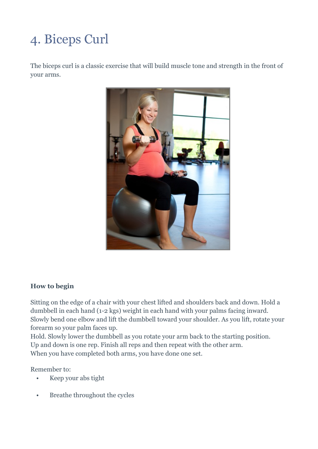## <span id="page-9-0"></span>4. Biceps Curl

The biceps curl is a classic exercise that will build muscle tone and strength in the front of your arms.



### **How to begin**

Sitting on the edge of a chair with your chest lifted and shoulders back and down. Hold a dumbbell in each hand (1-2 kgs) weight in each hand with your palms facing inward. Slowly bend one elbow and lift the dumbbell toward your shoulder. As you lift, rotate your forearm so your palm faces up.

Hold. Slowly lower the dumbbell as you rotate your arm back to the starting position. Up and down is one rep. Finish all reps and then repeat with the other arm. When you have completed both arms, you have done one set.

Remember to:

- Keep your abs tight
- Breathe throughout the cycles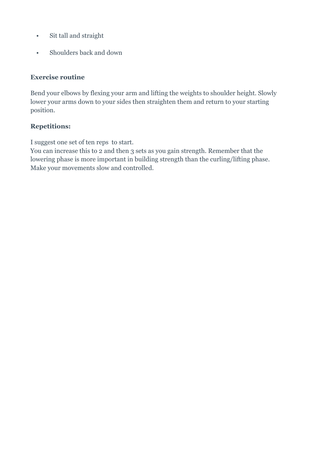- Sit tall and straight
- Shoulders back and down

#### **Exercise routine**

Bend your elbows by flexing your arm and lifting the weights to shoulder height. Slowly lower your arms down to your sides then straighten them and return to your starting position.

### **Repetitions:**

I suggest one set of ten reps to start.

You can increase this to 2 and then 3 sets as you gain strength. Remember that the lowering phase is more important in building strength than the curling/lifting phase. Make your movements slow and controlled.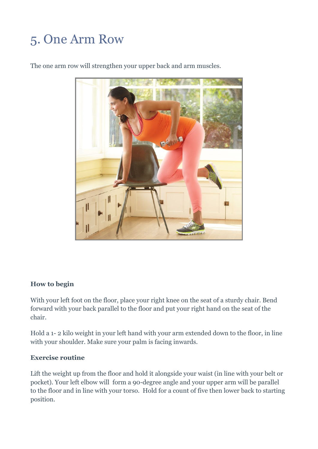### <span id="page-11-0"></span>5. One Arm Row

The one arm row will strengthen your upper back and arm muscles.



### **How to begin**

With your left foot on the floor, place your right knee on the seat of a sturdy chair. Bend forward with your back parallel to the floor and put your right hand on the seat of the chair.

Hold a 1- 2 kilo weight in your left hand with your arm extended down to the floor, in line with your shoulder. Make sure your palm is facing inwards.

#### **Exercise routine**

Lift the weight up from the floor and hold it alongside your waist (in line with your belt or pocket). Your left elbow will form a 90-degree angle and your upper arm will be parallel to the floor and in line with your torso. Hold for a count of five then lower back to starting position.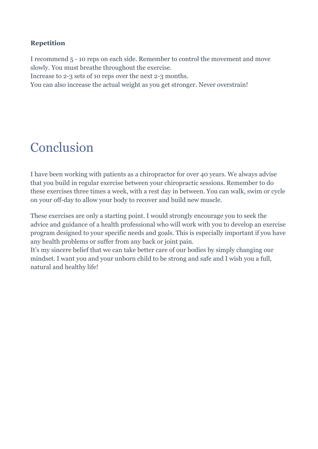### **Repetition**

I recommend 5 - 10 reps on each side. Remember to control the movement and move slowly. You must breathe throughout the exercise.

Increase to 2-3 sets of 10 reps over the next 2-3 months.

You can also increase the actual weight as you get stronger. Never overstrain!

### <span id="page-12-0"></span>Conclusion

I have been working with patients as a chiropractor for over 40 years. We always advise that you build in regular exercise between your chiropractic sessions. Remember to do these exercises three times a week, with a rest day in between. You can walk, swim or cycle on your off-day to allow your body to recover and build new muscle.

These exercises are only a starting point. I would strongly encourage you to seek the advice and guidance of a health professional who will work with you to develop an exercise program designed to your specific needs and goals. This is especially important if you have any health problems or suffer from any back or joint pain.

It's my sincere belief that we can take better care of our bodies by simply changing our mindset. I want you and your unborn child to be strong and safe and I wish you a full, natural and healthy life!